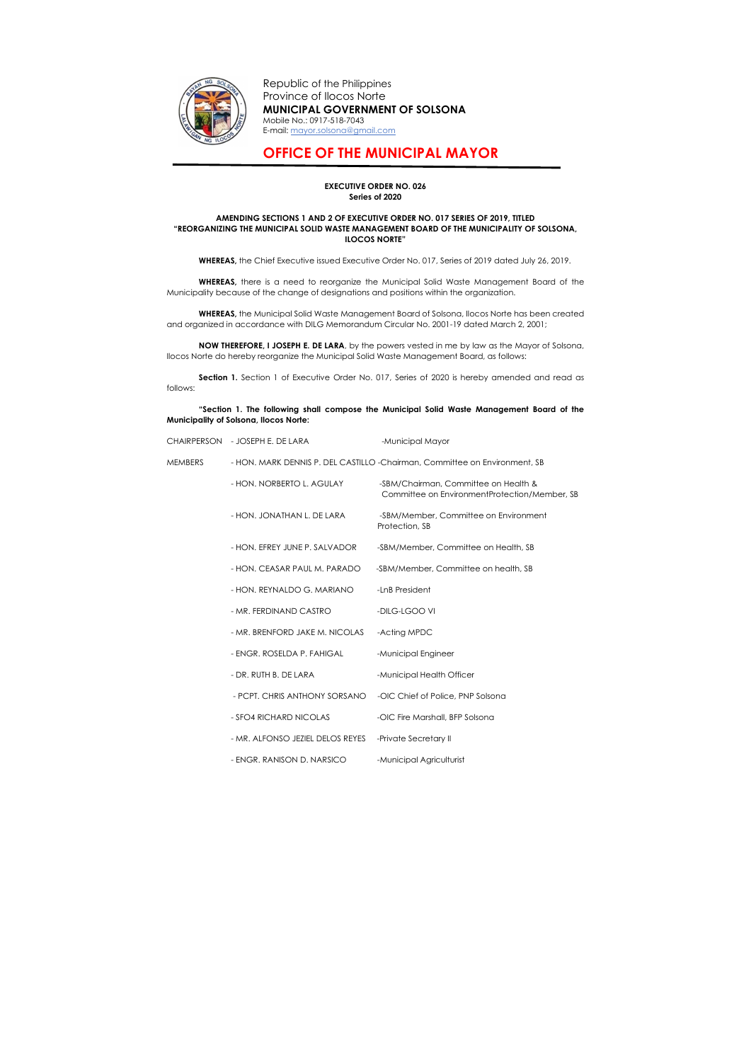

Republic of the Philippines Province of Ilocos Norte MUNICIPAL GOVERNMENT OF SOLSONA Mobile No.: 0917-518-7043 E-mail: mayor.solsona@gmail.com

## OFFICE OF THE MUNICIPAL MAYOR

## EXECUTIVE ORDER NO. 026 Series of 2020

## AMENDING SECTIONS 1 AND 2 OF EXECUTIVE ORDER NO. 017 SERIES OF 2019, TITLED "REORGANIZING THE MUNICIPAL SOLID WASTE MANAGEMENT BOARD OF THE MUNICIPALITY OF SOLSONA, ILOCOS NORTE"

WHEREAS, there is a need to reorganize the Municipal Solid Waste Management Board of the Municipality because of the change of designations and positions within the organization.

WHEREAS, the Chief Executive issued Executive Order No. 017, Series of 2019 dated July 26, 2019.

NOW THEREFORE, I JOSEPH E. DE LARA, by the powers vested in me by law as the Mayor of Solsona, Ilocos Norte do hereby reorganize the Municipal Solid Waste Management Board, as follows:

Section 1. Section 1 of Executive Order No. 017, Series of 2020 is hereby amended and read as follows:

WHEREAS, the Municipal Solid Waste Management Board of Solsona, Ilocos Norte has been created and organized in accordance with DILG Memorandum Circular No. 2001-19 dated March 2, 2001;

## "Section 1. The following shall compose the Municipal Solid Waste Management Board of the Municipality of Solsona, Ilocos Norte:

|                | CHAIRPERSON - JOSEPH E. DE LARA                                             | -Municipal Mayor                                                                      |  |
|----------------|-----------------------------------------------------------------------------|---------------------------------------------------------------------------------------|--|
| <b>MEMBERS</b> | - HON. MARK DENNIS P. DEL CASTILLO - Chairman, Committee on Environment, SB |                                                                                       |  |
|                | - HON. NORBERTO L. AGULAY                                                   | -SBM/Chairman, Committee on Health &<br>Committee on EnvironmentProtection/Member, SB |  |
|                | - HON. JONATHAN L. DE LARA                                                  | -SBM/Member, Committee on Environment<br>Protection, SB                               |  |
|                | - HON. EFREY JUNE P. SALVADOR                                               | -SBM/Member, Committee on Health, SB                                                  |  |
|                | - HON. CEASAR PAUL M. PARADO                                                | -SBM/Member, Committee on health, SB                                                  |  |
|                | - HON. REYNALDO G. MARIANO                                                  | -LnB President                                                                        |  |
|                | - MR. FERDINAND CASTRO                                                      | -DILG-LGOO VI                                                                         |  |
|                | - MR. BRENFORD JAKE M. NICOLAS                                              | -Acting MPDC                                                                          |  |
|                | - ENGR. ROSELDA P. FAHIGAL                                                  | -Municipal Engineer                                                                   |  |
|                | - DR. RUTH B. DE LARA                                                       | -Municipal Health Officer                                                             |  |
|                | - PCPT. CHRIS ANTHONY SORSANO                                               | -OIC Chief of Police, PNP Solsona                                                     |  |
|                | - SFO4 RICHARD NICOLAS                                                      | -OIC Fire Marshall, BFP Solsona                                                       |  |
|                | - MR. ALFONSO JEZIEL DELOS REYES                                            | -Private Secretary II                                                                 |  |
|                | - ENGR. RANISON D. NARSICO                                                  | -Municipal Agriculturist                                                              |  |